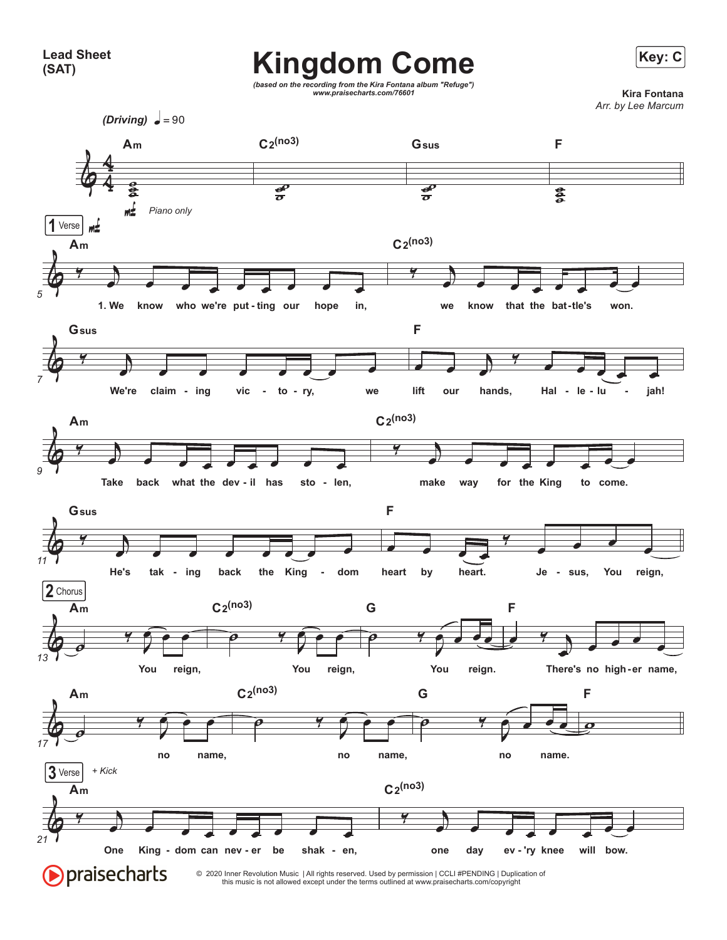## Kingdom Come **Key: C**

*(based on the recording from the Kira Fontana album "Refuge") www.praisecharts.com/76601* **Kira Fontana**

*Arr. by Lee Marcum*

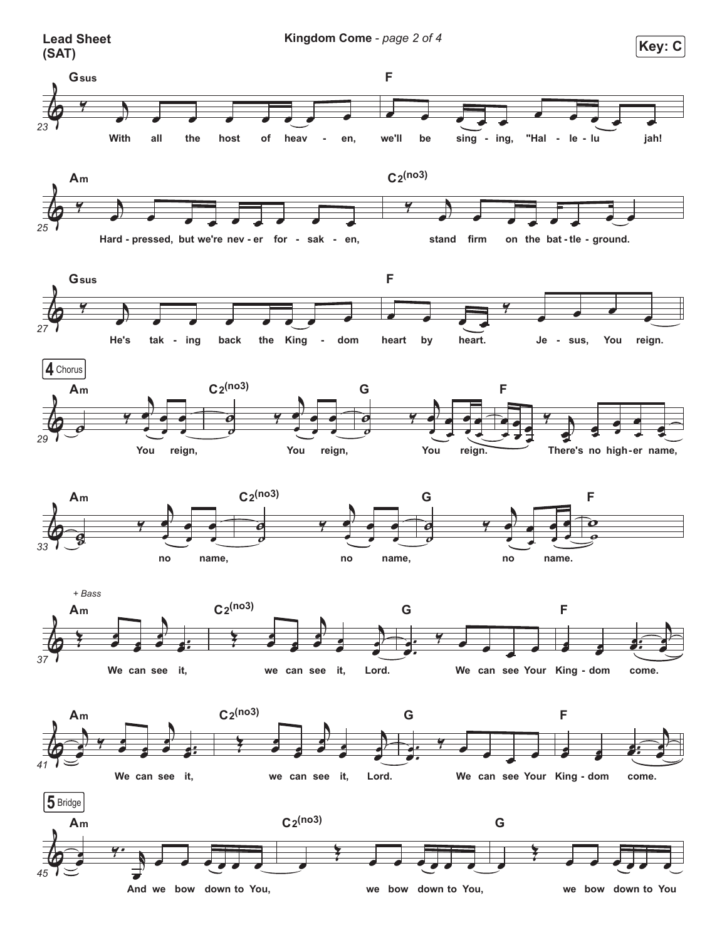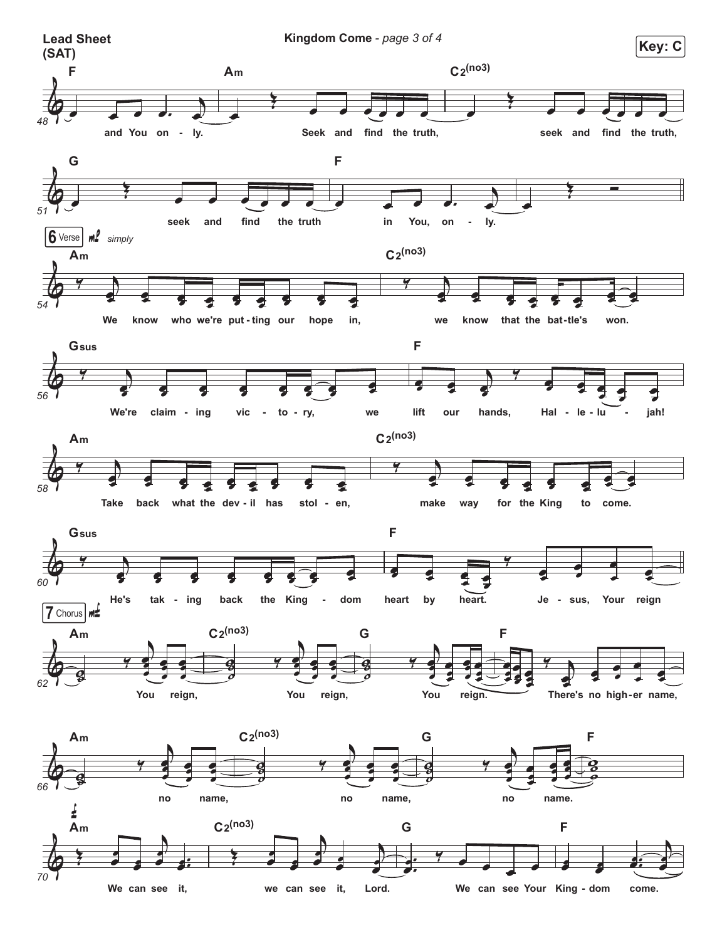